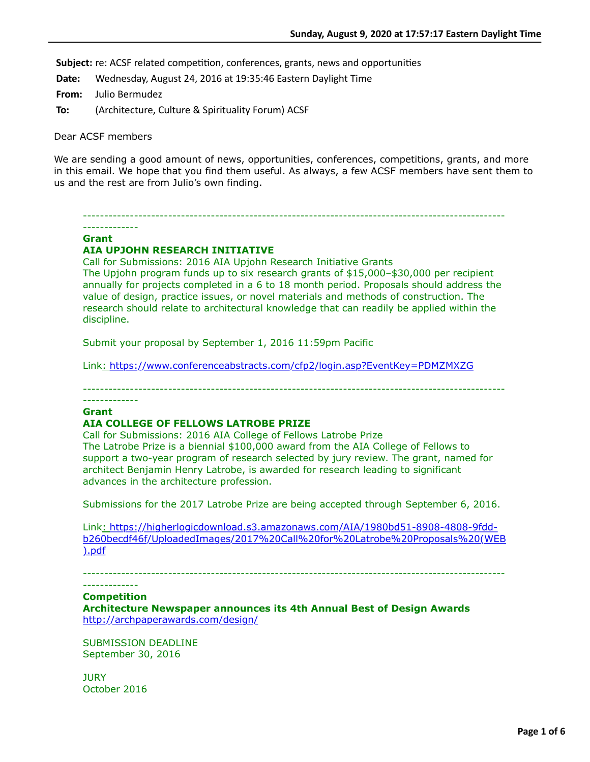Subject: re: ACSF related competition, conferences, grants, news and opportunities

**Date:** Wednesday, August 24, 2016 at 19:35:46 Eastern Daylight Time

**From:** Julio Bermudez

**To:** (Architecture, Culture & Spirituality Forum) ACSF

Dear ACSF members

We are sending a good amount of news, opportunities, conferences, competitions, grants, and more in this email. We hope that you find them useful. As always, a few ACSF members have sent them to us and the rest are from Julio's own finding.

--------------------------------------------------------------------------------------------------- -------------

#### **Grant**

## **AIA UPJOHN RESEARCH INITIATIVE**

Call for Submissions: 2016 AIA Upjohn Research Initiative Grants The Upjohn program funds up to six research grants of \$15,000–\$30,000 per recipient annually for projects completed in a 6 to 18 month period. Proposals should address the value of design, practice issues, or novel materials and methods of construction. The research should relate to architectural knowledge that can readily be applied within the discipline.

Submit your proposal by September 1, 2016 11:59pm Pacific

Link: <https://www.conferenceabstracts.com/cfp2/login.asp?EventKey=PDMZMXZG>

---------------------------------------------------------------------------------------------------

### **Grant**

-------------

## **AIA COLLEGE OF FELLOWS LATROBE PRIZE**

Call for Submissions: 2016 AIA College of Fellows Latrobe Prize The Latrobe Prize is a biennial \$100,000 award from the AIA College of Fellows to support a two-year program of research selected by jury review. The grant, named for architect Benjamin Henry Latrobe, is awarded for research leading to significant advances in the architecture profession.

Submissions for the 2017 Latrobe Prize are being accepted through September 6, 2016.

Link: https://higherlogicdownload.s3.amazonaws.com/AIA/1980bd51-8908-4808-9fdd[b260becdf46f/UploadedImages/2017%20Call%20for%20Latrobe%20Proposals%20\(WEB](https://higherlogicdownload.s3.amazonaws.com/AIA/1980bd51-8908-4808-9fdd-b260becdf46f/UploadedImages/2017%20Call%20for%20Latrobe%20Proposals%20(WEB).pdf) ).pdf

---------------------------------------------------------------------------------------------------

#### ------------- **Competition**

**Architecture Newspaper announces its 4th Annual Best of Design Awards** <http://archpaperawards.com/design/>

SUBMISSION DEADLINE September 30, 2016

**JURY** October 2016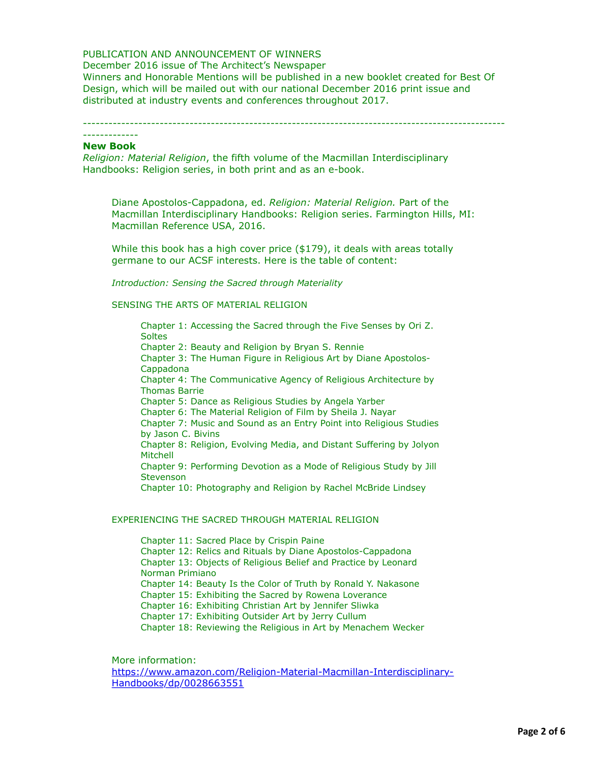## PUBLICATION AND ANNOUNCEMENT OF WINNERS

### December 2016 issue of The Architect's Newspaper

Winners and Honorable Mentions will be published in a new booklet created for Best Of Design, which will be mailed out with our national December 2016 print issue and distributed at industry events and conferences throughout 2017.

---------------------------------------------------------------------------------------------------

### ------------- **New Book**

*Religion: Material Religion*, the fifth volume of the Macmillan Interdisciplinary Handbooks: Religion series, in both print and as an e-book.

Diane Apostolos-Cappadona, ed. *Religion: Material Religion.* Part of the Macmillan Interdisciplinary Handbooks: Religion series. Farmington Hills, MI: Macmillan Reference USA, 2016.

While this book has a high cover price (\$179), it deals with areas totally germane to our ACSF interests. Here is the table of content:

*Introduction: Sensing the Sacred through Materiality*

SENSING THE ARTS OF MATERIAL RELIGION

Chapter 1: Accessing the Sacred through the Five Senses by Ori Z. **Soltes** Chapter 2: Beauty and Religion by Bryan S. Rennie Chapter 3: The Human Figure in Religious Art by Diane Apostolos-Cappadona Chapter 4: The Communicative Agency of Religious Architecture by Thomas Barrie Chapter 5: Dance as Religious Studies by Angela Yarber Chapter 6: The Material Religion of Film by Sheila J. Nayar Chapter 7: Music and Sound as an Entry Point into Religious Studies by Jason C. Bivins Chapter 8: Religion, Evolving Media, and Distant Suffering by Jolyon Mitchell Chapter 9: Performing Devotion as a Mode of Religious Study by Jill **Stevenson** Chapter 10: Photography and Religion by Rachel McBride Lindsey

### EXPERIENCING THE SACRED THROUGH MATERIAL RELIGION

Chapter 11: Sacred Place by Crispin Paine Chapter 12: Relics and Rituals by Diane Apostolos-Cappadona Chapter 13: Objects of Religious Belief and Practice by Leonard Norman Primiano Chapter 14: Beauty Is the Color of Truth by Ronald Y. Nakasone Chapter 15: Exhibiting the Sacred by Rowena Loverance Chapter 16: Exhibiting Christian Art by Jennifer Sliwka Chapter 17: Exhibiting Outsider Art by Jerry Cullum Chapter 18: Reviewing the Religious in Art by Menachem Wecker

More information:

[https://www.amazon.com/Religion-Material-Macmillan-Interdisciplinary-](https://www.amazon.com/Religion-Material-Macmillan-Interdisciplinary-Handbooks/dp/0028663551)Handbooks/dp/0028663551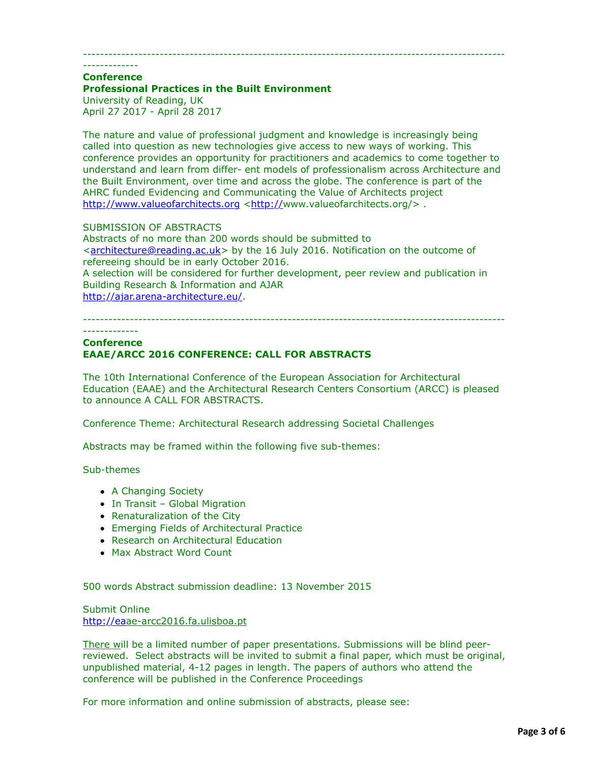### ---------------------------------------------------------------------------------------------------

------------- **Conference**

## **Professional Practices in the Built Environment**

University of Reading, UK April 27 2017 - April 28 2017

The nature and value of professional judgment and knowledge is increasingly being called into question as new technologies give access to new ways of working. This conference provides an opportunity for practitioners and academics to come together to understand and learn from differ- ent models of professionalism across Architecture and the Built Environment, over time and across the globe. The conference is part of the AHRC funded Evidencing and Communicating the Value of Architects project [http://www.valueofarchitects.org](http://www.valueofarchitects.org/) [<http://w](http://)ww.valueofarchitects.org/> .

SUBMISSION OF ABSTRACTS

Abstracts of no more than 200 words should be submitted to <[architecture@reading.ac.uk](applewebdata://4EBC0AB9-F469-47BD-AD46-FF1BB5308413/architecture@reading.ac.uk)> by the 16 July 2016. Notification on the outcome of refereeing should be in early October 2016. A selection will be considered for further development, peer review and publication in

Building Research & Information and AJAR <http://ajar.arena-architecture.eu/>.

#### --------------------------------------------------------------------------------------------------- -------------

# **Conference EAAE/ARCC 2016 CONFERENCE: CALL FOR ABSTRACTS**

The 10th International Conference of the European Association for Architectural Education (EAAE) and the Architectural Research Centers Consortium (ARCC) is pleased to announce A CALL FOR ABSTRACTS.

Conference Theme: Architectural Research addressing Societal Challenges

Abstracts may be framed within the following five sub-themes:

Sub-themes

- A Changing Society
- In Transit Global Migration
- Renaturalization of the City
- Emerging Fields of Architectural Practice
- Research on Architectural Education
- Max Abstract Word Count

500 words Abstract submission deadline: 13 November 2015

Submit Online [http://eaa](http://ea/)e-arcc2016.fa.ulisboa.pt

There will be a limited number of paper presentations. Submissions will be blind peerreviewed. Select abstracts will be invited to submit a final paper, which must be original, unpublished material, 4-12 pages in length. The papers of authors who attend the conference will be published in the Conference Proceedings

For more information and online submission of abstracts, please see: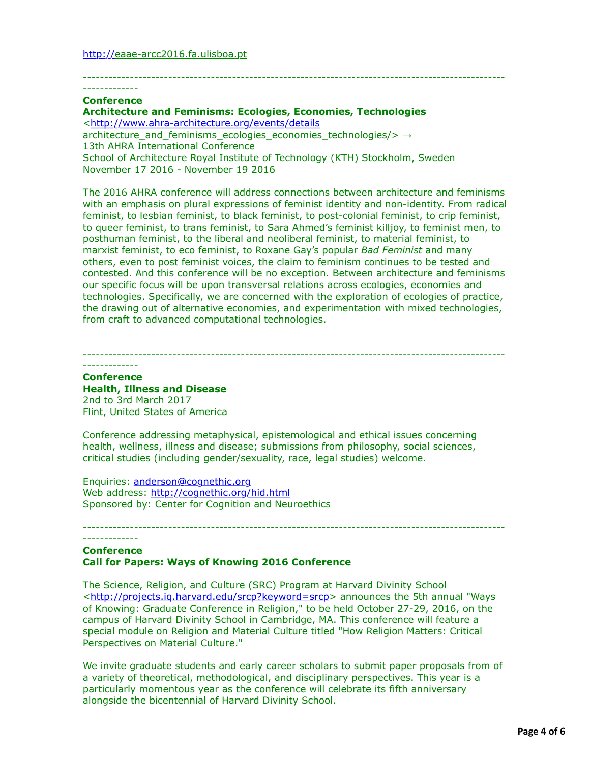# -------------

**Conference Architecture and Feminisms: Ecologies, Economies, Technologies**  <<http://www.ahra-architecture.org/events/details>

architecture\_and\_feminisms\_ecologies\_economies\_technologies/> → 13th AHRA International Conference School of Architecture Royal Institute of Technology (KTH) Stockholm, Sweden

November 17 2016 - November 19 2016

The 2016 AHRA conference will address connections between architecture and feminisms with an emphasis on plural expressions of feminist identity and non-identity. From radical feminist, to lesbian feminist, to black feminist, to post-colonial feminist, to crip feminist, to queer feminist, to trans feminist, to Sara Ahmed's feminist killjoy, to feminist men, to posthuman feminist, to the liberal and neoliberal feminist, to material feminist, to marxist feminist, to eco feminist, to Roxane Gay's popular *Bad Feminist* and many others, even to post feminist voices, the claim to feminism continues to be tested and contested. And this conference will be no exception. Between architecture and feminisms our specific focus will be upon transversal relations across ecologies, economies and technologies. Specifically, we are concerned with the exploration of ecologies of practice, the drawing out of alternative economies, and experimentation with mixed technologies, from craft to advanced computational technologies.

---------------------------------------------------------------------------------------------------

---------------------------------------------------------------------------------------------------

### ------------- **Conference Health, Illness and Disease** 2nd to 3rd March 2017

Flint, United States of America

Conference addressing metaphysical, epistemological and ethical issues concerning health, wellness, illness and disease; submissions from philosophy, social sciences, critical studies (including gender/sexuality, race, legal studies) welcome.

Enquiries: [anderson@cognethic.org](applewebdata://4EBC0AB9-F469-47BD-AD46-FF1BB5308413/anderson@cognethic.org) Web address:<http://cognethic.org/hid.html> Sponsored by: Center for Cognition and Neuroethics

## ------------- **Conference Call for Papers: Ways of Knowing 2016 Conference**

The Science, Religion, and Culture (SRC) Program at Harvard Divinity School <[http://projects.iq.harvard.edu/srcp?keyword=srcp>](http://projects.iq.harvard.edu/srcp?keyword=srcp) announces the 5th annual "Ways of Knowing: Graduate Conference in Religion," to be held October 27-29, 2016, on the campus of Harvard Divinity School in Cambridge, MA. This conference will feature a special module on Religion and Material Culture titled "How Religion Matters: Critical Perspectives on Material Culture."

---------------------------------------------------------------------------------------------------

We invite graduate students and early career scholars to submit paper proposals from of a variety of theoretical, methodological, and disciplinary perspectives. This year is a particularly momentous year as the conference will celebrate its fifth anniversary alongside the bicentennial of Harvard Divinity School.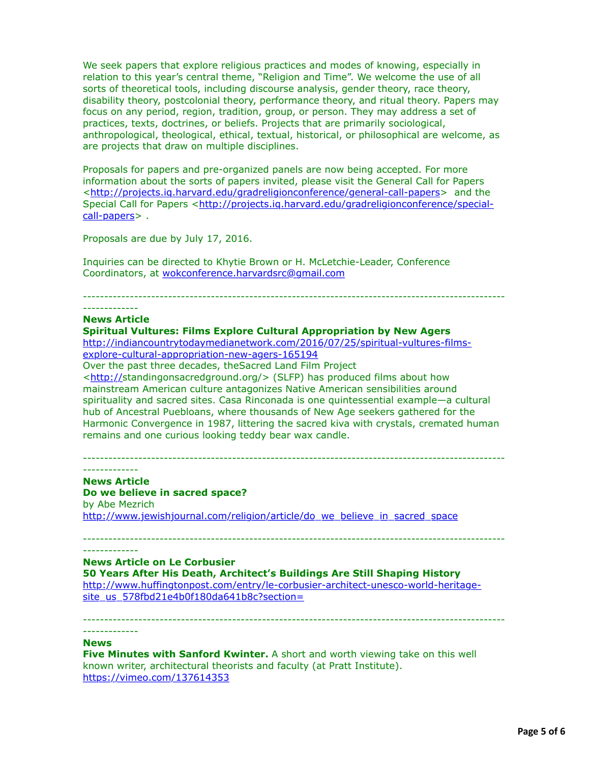We seek papers that explore religious practices and modes of knowing, especially in relation to this year's central theme, "Religion and Time". We welcome the use of all sorts of theoretical tools, including discourse analysis, gender theory, race theory, disability theory, postcolonial theory, performance theory, and ritual theory. Papers may focus on any period, region, tradition, group, or person. They may address a set of practices, texts, doctrines, or beliefs. Projects that are primarily sociological, anthropological, theological, ethical, textual, historical, or philosophical are welcome, as are projects that draw on multiple disciplines.

Proposals for papers and pre-organized panels are now being accepted. For more information about the sorts of papers invited, please visit the General Call for Papers <[http://projects.iq.harvard.edu/gradreligionconference/general-call-papers>](http://projects.iq.harvard.edu/gradreligionconference/general-call-papers) and the [Special Call for Papers <http://projects.iq.harvard.edu/gradreligionconference/special](http://projects.iq.harvard.edu/gradreligionconference/special-call-papers)call-papers> .

Proposals are due by July 17, 2016.

Inquiries can be directed to Khytie Brown or H. McLetchie-Leader, Conference Coordinators, at [wokconference.harvardsrc@gmail.com](applewebdata://4EBC0AB9-F469-47BD-AD46-FF1BB5308413/wokconference.harvardsrc@gmail.com)

---------------------------------------------------------------------------------------------------

#### ------------- **News Article**

## **Spiritual Vultures: Films Explore Cultural Appropriation by New Agers**

[http://indiancountrytodaymedianetwork.com/2016/07/25/spiritual-vultures-films](http://indiancountrytodaymedianetwork.com/2016/07/25/spiritual-vultures-films-explore-cultural-appropriation-new-agers-165194)explore-cultural-appropriation-new-agers-165194

Over the past three decades, theSacred Land Film Project

<<http://>standingonsacredground.org/> (SLFP) has produced films about how mainstream American culture antagonizes Native American sensibilities around spirituality and sacred sites. Casa Rinconada is one quintessential example—a cultural hub of Ancestral Puebloans, where thousands of New Age seekers gathered for the Harmonic Convergence in 1987, littering the sacred kiva with crystals, cremated human remains and one curious looking teddy bear wax candle.

--------------------------------------------------------------------------------------------------- -------------

-------------

## **News Article**

**Do we believe in sacred space?** by Abe Mezrich [http://www.jewishjournal.com/religion/article/do\\_we\\_believe\\_in\\_sacred\\_space](http://www.jewishjournal.com/religion/article/do_we_believe_in_sacred_space)

## **News Article on Le Corbusier**

**50 Years After His Death, Architect's Buildings Are Still Shaping History** [http://www.huffingtonpost.com/entry/le-corbusier-architect-unesco-world-heritage](http://www.huffingtonpost.com/entry/le-corbusier-architect-unesco-world-heritage-site_us_578fbd21e4b0f180da641b8c?section=)site\_us\_578fbd21e4b0f180da641b8c?section=

---------------------------------------------------------------------------------------------------

---------------------------------------------------------------------------------------------------

#### **News**

-------------

**Five Minutes with Sanford Kwinter.** A short and worth viewing take on this well known writer, architectural theorists and faculty (at Pratt Institute). <https://vimeo.com/137614353>